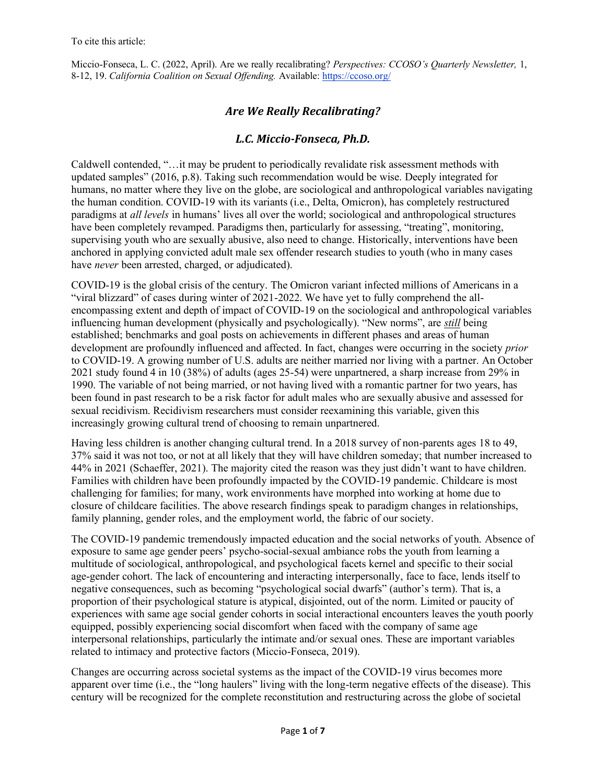## *Are We Really Recalibrating?*

## *L.C. Miccio-Fonseca, Ph.D.*

Caldwell contended, "…it may be prudent to periodically revalidate risk assessment methods with updated samples" (2016, p.8). Taking such recommendation would be wise. Deeply integrated for humans, no matter where they live on the globe, are sociological and anthropological variables navigating the human condition. COVID-19 with its variants (i.e., Delta, Omicron), has completely restructured paradigms at *all levels* in humans' lives all over the world; sociological and anthropological structures have been completely revamped. Paradigms then, particularly for assessing, "treating", monitoring, supervising youth who are sexually abusive, also need to change. Historically, interventions have been anchored in applying convicted adult male sex offender research studies to youth (who in many cases have *never* been arrested, charged, or adjudicated).

COVID-19 is the global crisis of the century. The Omicron variant infected millions of Americans in a "viral blizzard" of cases during winter of 2021-2022. We have yet to fully comprehend the allencompassing extent and depth of impact of COVID-19 on the sociological and anthropological variables influencing human development (physically and psychologically). "New norms", are *still* being established; benchmarks and goal posts on achievements in different phases and areas of human development are profoundly influenced and affected. In fact, changes were occurring in the society *prior*  to COVID-19. A growing number of U.S. adults are neither married nor living with a partner. An October 2021 study found 4 in 10 (38%) of adults (ages 25-54) were unpartnered, a sharp increase from 29% in 1990. The variable of not being married, or not having lived with a romantic partner for two years, has been found in past research to be a risk factor for adult males who are sexually abusive and assessed for sexual recidivism. Recidivism researchers must consider reexamining this variable, given this increasingly growing cultural trend of choosing to remain unpartnered.

Having less children is another changing cultural trend. In a 2018 survey of non-parents ages 18 to 49, 37% said it was not too, or not at all likely that they will have children someday; that number increased to 44% in 2021 (Schaeffer, 2021). The majority cited the reason was they just didn't want to have children. Families with children have been profoundly impacted by the COVID-19 pandemic. Childcare is most challenging for families; for many, work environments have morphed into working at home due to closure of childcare facilities. The above research findings speak to paradigm changes in relationships, family planning, gender roles, and the employment world, the fabric of our society.

The COVID-19 pandemic tremendously impacted education and the social networks of youth. Absence of exposure to same age gender peers' psycho-social-sexual ambiance robs the youth from learning a multitude of sociological, anthropological, and psychological facets kernel and specific to their social age-gender cohort. The lack of encountering and interacting interpersonally, face to face, lends itself to negative consequences, such as becoming "psychological social dwarfs" (author's term). That is, a proportion of their psychological stature is atypical, disjointed, out of the norm. Limited or paucity of experiences with same age social gender cohorts in social interactional encounters leaves the youth poorly equipped, possibly experiencing social discomfort when faced with the company of same age interpersonal relationships, particularly the intimate and/or sexual ones. These are important variables related to intimacy and protective factors (Miccio-Fonseca, 2019).

Changes are occurring across societal systems as the impact of the COVID-19 virus becomes more apparent over time (i.e., the "long haulers" living with the long-term negative effects of the disease). This century will be recognized for the complete reconstitution and restructuring across the globe of societal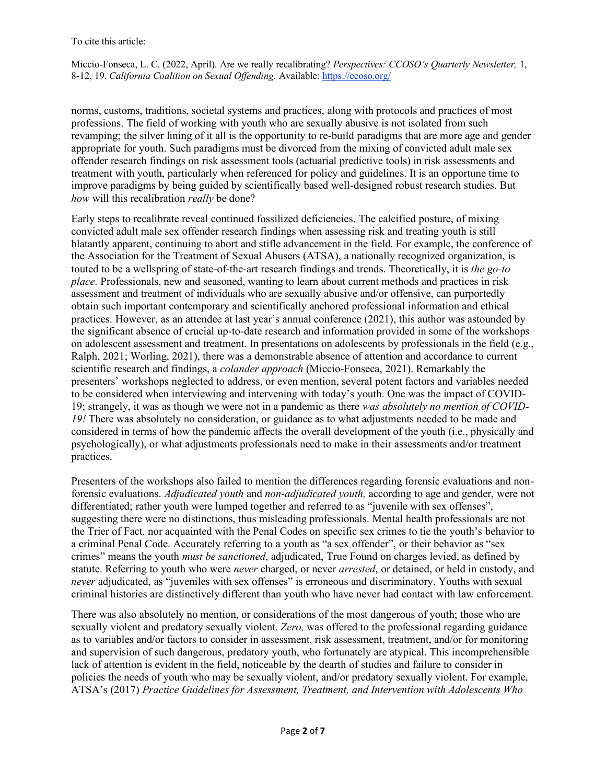norms, customs, traditions, societal systems and practices, along with protocols and practices of most professions. The field of working with youth who are sexually abusive is not isolated from such revamping; the silver lining of it all is the opportunity to re-build paradigms that are more age and gender appropriate for youth. Such paradigms must be divorced from the mixing of convicted adult male sex offender research findings on risk assessment tools (actuarial predictive tools) in risk assessments and treatment with youth, particularly when referenced for policy and guidelines. It is an opportune time to improve paradigms by being guided by scientifically based well-designed robust research studies. But *how* will this recalibration *really* be done?

Early steps to recalibrate reveal continued fossilized deficiencies. The calcified posture, of mixing convicted adult male sex offender research findings when assessing risk and treating youth is still blatantly apparent, continuing to abort and stifle advancement in the field. For example, the conference of the Association for the Treatment of Sexual Abusers (ATSA), a nationally recognized organization, is touted to be a wellspring of state-of-the-art research findings and trends. Theoretically, it is *the go-to place*. Professionals, new and seasoned, wanting to learn about current methods and practices in risk assessment and treatment of individuals who are sexually abusive and/or offensive, can purportedly obtain such important contemporary and scientifically anchored professional information and ethical practices. However, as an attendee at last year's annual conference (2021), this author was astounded by the significant absence of crucial up-to-date research and information provided in some of the workshops on adolescent assessment and treatment. In presentations on adolescents by professionals in the field (e.g., Ralph, 2021; Worling, 2021), there was a demonstrable absence of attention and accordance to current scientific research and findings, a *colander approach* (Miccio-Fonseca, 2021). Remarkably the presenters' workshops neglected to address, or even mention, several potent factors and variables needed to be considered when interviewing and intervening with today's youth. One was the impact of COVID-19; strangely, it was as though we were not in a pandemic as there *was absolutely no mention of COVID-19!* There was absolutely no consideration, or guidance as to what adjustments needed to be made and considered in terms of how the pandemic affects the overall development of the youth (i.e., physically and psychologically), or what adjustments professionals need to make in their assessments and/or treatment practices.

Presenters of the workshops also failed to mention the differences regarding forensic evaluations and nonforensic evaluations. *Adjudicated youth* and *non-adjudicated youth,* according to age and gender, were not differentiated; rather youth were lumped together and referred to as "juvenile with sex offenses", suggesting there were no distinctions, thus misleading professionals. Mental health professionals are not the Trier of Fact, nor acquainted with the Penal Codes on specific sex crimes to tie the youth's behavior to a criminal Penal Code. Accurately referring to a youth as "a sex offender", or their behavior as "sex crimes" means the youth *must be sanctioned*, adjudicated, True Found on charges levied, as defined by statute. Referring to youth who were *never* charged, or never *arrested*, or detained, or held in custody, and *never* adjudicated, as "juveniles with sex offenses" is erroneous and discriminatory. Youths with sexual criminal histories are distinctively different than youth who have never had contact with law enforcement.

There was also absolutely no mention, or considerations of the most dangerous of youth; those who are sexually violent and predatory sexually violent. *Zero,* was offered to the professional regarding guidance as to variables and/or factors to consider in assessment, risk assessment, treatment, and/or for monitoring and supervision of such dangerous, predatory youth, who fortunately are atypical. This incomprehensible lack of attention is evident in the field, noticeable by the dearth of studies and failure to consider in policies the needs of youth who may be sexually violent, and/or predatory sexually violent. For example, ATSA's (2017) *Practice Guidelines for Assessment, Treatment, and Intervention with Adolescents Who*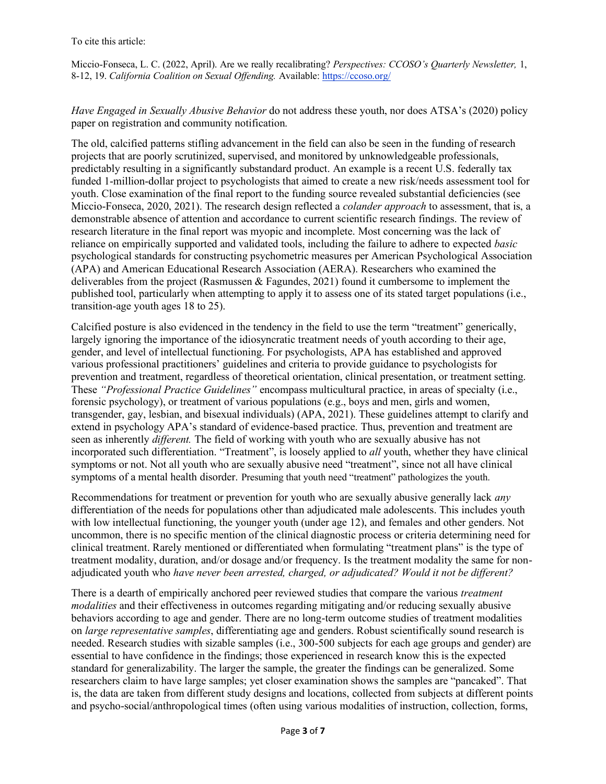*Have Engaged in Sexually Abusive Behavior* do not address these youth, nor does ATSA's (2020) policy paper on registration and community notification.

The old, calcified patterns stifling advancement in the field can also be seen in the funding of research projects that are poorly scrutinized, supervised, and monitored by unknowledgeable professionals, predictably resulting in a significantly substandard product. An example is a recent U.S. federally tax funded 1-million-dollar project to psychologists that aimed to create a new risk/needs assessment tool for youth. Close examination of the final report to the funding source revealed substantial deficiencies (see Miccio-Fonseca, 2020, 2021). The research design reflected a *colander approach* to assessment, that is, a demonstrable absence of attention and accordance to current scientific research findings. The review of research literature in the final report was myopic and incomplete. Most concerning was the lack of reliance on empirically supported and validated tools, including the failure to adhere to expected *basic*  psychological standards for constructing psychometric measures per American Psychological Association (APA) and American Educational Research Association (AERA). Researchers who examined the deliverables from the project (Rasmussen & Fagundes, 2021) found it cumbersome to implement the published tool, particularly when attempting to apply it to assess one of its stated target populations (i.e., transition-age youth ages 18 to 25).

Calcified posture is also evidenced in the tendency in the field to use the term "treatment" generically, largely ignoring the importance of the idiosyncratic treatment needs of youth according to their age, gender, and level of intellectual functioning. For psychologists, APA has established and approved various professional practitioners' guidelines and criteria to provide guidance to psychologists for prevention and treatment, regardless of theoretical orientation, clinical presentation, or treatment setting. These *"Professional Practice Guidelines"* encompass multicultural practice, in areas of specialty (i.e., forensic psychology), or treatment of various populations (e.g., boys and men, girls and women, transgender, gay, lesbian, and bisexual individuals) (APA, 2021). These guidelines attempt to clarify and extend in psychology APA's standard of evidence-based practice. Thus, prevention and treatment are seen as inherently *different.* The field of working with youth who are sexually abusive has not incorporated such differentiation. "Treatment", is loosely applied to *all* youth, whether they have clinical symptoms or not. Not all youth who are sexually abusive need "treatment", since not all have clinical symptoms of a mental health disorder. Presuming that youth need "treatment" pathologizes the youth.

Recommendations for treatment or prevention for youth who are sexually abusive generally lack *any*  differentiation of the needs for populations other than adjudicated male adolescents. This includes youth with low intellectual functioning, the younger youth (under age 12), and females and other genders. Not uncommon, there is no specific mention of the clinical diagnostic process or criteria determining need for clinical treatment. Rarely mentioned or differentiated when formulating "treatment plans" is the type of treatment modality, duration, and/or dosage and/or frequency. Is the treatment modality the same for nonadjudicated youth who *have never been arrested, charged, or adjudicated? Would it not be different?* 

There is a dearth of empirically anchored peer reviewed studies that compare the various *treatment modalities* and their effectiveness in outcomes regarding mitigating and/or reducing sexually abusive behaviors according to age and gender. There are no long-term outcome studies of treatment modalities on *large representative samples*, differentiating age and genders. Robust scientifically sound research is needed. Research studies with sizable samples (i.e., 300-500 subjects for each age groups and gender) are essential to have confidence in the findings; those experienced in research know this is the expected standard for generalizability. The larger the sample, the greater the findings can be generalized. Some researchers claim to have large samples; yet closer examination shows the samples are "pancaked". That is, the data are taken from different study designs and locations, collected from subjects at different points and psycho-social/anthropological times (often using various modalities of instruction, collection, forms,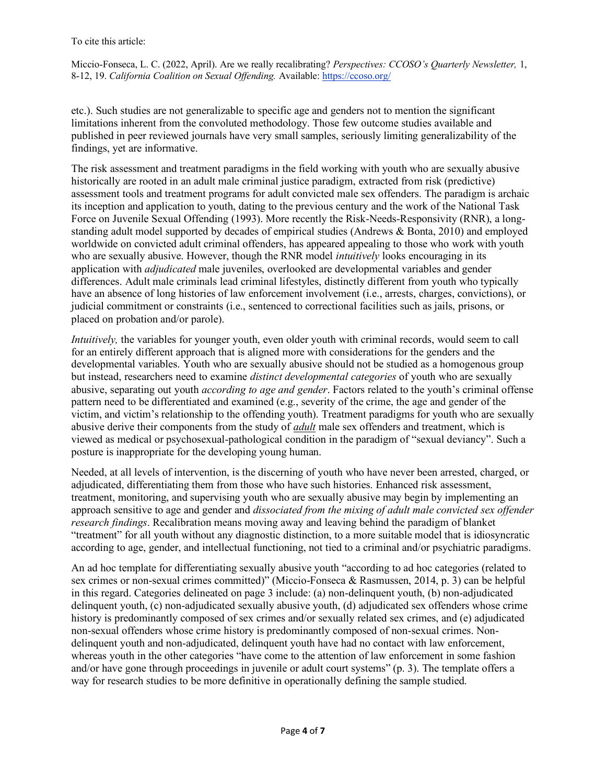etc.). Such studies are not generalizable to specific age and genders not to mention the significant limitations inherent from the convoluted methodology. Those few outcome studies available and published in peer reviewed journals have very small samples, seriously limiting generalizability of the findings, yet are informative.

The risk assessment and treatment paradigms in the field working with youth who are sexually abusive historically are rooted in an adult male criminal justice paradigm, extracted from risk (predictive) assessment tools and treatment programs for adult convicted male sex offenders. The paradigm is archaic its inception and application to youth, dating to the previous century and the work of the National Task Force on Juvenile Sexual Offending (1993). More recently the Risk-Needs-Responsivity (RNR), a longstanding adult model supported by decades of empirical studies (Andrews & Bonta, 2010) and employed worldwide on convicted adult criminal offenders, has appeared appealing to those who work with youth who are sexually abusive. However, though the RNR model *intuitively* looks encouraging in its application with *adjudicated* male juveniles, overlooked are developmental variables and gender differences. Adult male criminals lead criminal lifestyles, distinctly different from youth who typically have an absence of long histories of law enforcement involvement (i.e., arrests, charges, convictions), or judicial commitment or constraints (i.e., sentenced to correctional facilities such as jails, prisons, or placed on probation and/or parole).

*Intuitively*, the variables for younger youth, even older youth with criminal records, would seem to call for an entirely different approach that is aligned more with considerations for the genders and the developmental variables. Youth who are sexually abusive should not be studied as a homogenous group but instead, researchers need to examine *distinct developmental categories* of youth who are sexually abusive, separating out youth *according to age and gender*. Factors related to the youth's criminal offense pattern need to be differentiated and examined (e.g., severity of the crime, the age and gender of the victim, and victim's relationship to the offending youth). Treatment paradigms for youth who are sexually abusive derive their components from the study of *adult* male sex offenders and treatment, which is viewed as medical or psychosexual-pathological condition in the paradigm of "sexual deviancy". Such a posture is inappropriate for the developing young human.

Needed, at all levels of intervention, is the discerning of youth who have never been arrested, charged, or adjudicated, differentiating them from those who have such histories. Enhanced risk assessment, treatment, monitoring, and supervising youth who are sexually abusive may begin by implementing an approach sensitive to age and gender and *dissociated from the mixing of adult male convicted sex offender research findings*. Recalibration means moving away and leaving behind the paradigm of blanket "treatment" for all youth without any diagnostic distinction, to a more suitable model that is idiosyncratic according to age, gender, and intellectual functioning, not tied to a criminal and/or psychiatric paradigms.

An ad hoc template for differentiating sexually abusive youth "according to ad hoc categories (related to sex crimes or non-sexual crimes committed)" (Miccio-Fonseca & Rasmussen, 2014, p. 3) can be helpful in this regard. Categories delineated on page 3 include: (a) non-delinquent youth, (b) non-adjudicated delinquent youth, (c) non-adjudicated sexually abusive youth, (d) adjudicated sex offenders whose crime history is predominantly composed of sex crimes and/or sexually related sex crimes, and (e) adjudicated non-sexual offenders whose crime history is predominantly composed of non-sexual crimes. Nondelinquent youth and non-adjudicated, delinquent youth have had no contact with law enforcement, whereas youth in the other categories "have come to the attention of law enforcement in some fashion and/or have gone through proceedings in juvenile or adult court systems" (p. 3). The template offers a way for research studies to be more definitive in operationally defining the sample studied.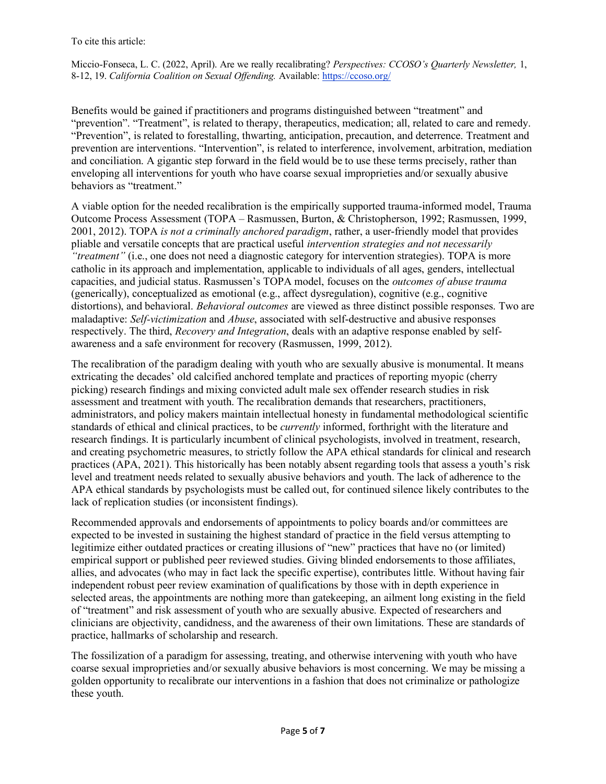Benefits would be gained if practitioners and programs distinguished between "treatment" and "prevention". "Treatment", is related to therapy, therapeutics, medication; all, related to care and remedy. "Prevention", is related to forestalling, thwarting, anticipation, precaution, and deterrence. Treatment and prevention are interventions. "Intervention", is related to interference, involvement, arbitration, mediation and conciliation. A gigantic step forward in the field would be to use these terms precisely, rather than enveloping all interventions for youth who have coarse sexual improprieties and/or sexually abusive behaviors as "treatment."

A viable option for the needed recalibration is the empirically supported trauma-informed model, Trauma Outcome Process Assessment (TOPA – Rasmussen, Burton, & Christopherson, 1992; Rasmussen, 1999, 2001, 2012). TOPA *is not a criminally anchored paradigm*, rather, a user-friendly model that provides pliable and versatile concepts that are practical useful *intervention strategies and not necessarily "treatment"* (i.e., one does not need a diagnostic category for intervention strategies). TOPA is more catholic in its approach and implementation, applicable to individuals of all ages, genders, intellectual capacities, and judicial status. Rasmussen's TOPA model, focuses on the *outcomes of abuse trauma* (generically), conceptualized as emotional (e.g., affect dysregulation), cognitive (e.g., cognitive distortions), and behavioral. *Behavioral outcomes* are viewed as three distinct possible responses. Two are maladaptive: *Self-victimization* and *Abuse*, associated with self-destructive and abusive responses respectively. The third, *Recovery and Integration*, deals with an adaptive response enabled by selfawareness and a safe environment for recovery (Rasmussen, 1999, 2012).

The recalibration of the paradigm dealing with youth who are sexually abusive is monumental. It means extricating the decades' old calcified anchored template and practices of reporting myopic (cherry picking) research findings and mixing convicted adult male sex offender research studies in risk assessment and treatment with youth. The recalibration demands that researchers, practitioners, administrators, and policy makers maintain intellectual honesty in fundamental methodological scientific standards of ethical and clinical practices, to be *currently* informed, forthright with the literature and research findings. It is particularly incumbent of clinical psychologists, involved in treatment, research, and creating psychometric measures, to strictly follow the APA ethical standards for clinical and research practices (APA, 2021). This historically has been notably absent regarding tools that assess a youth's risk level and treatment needs related to sexually abusive behaviors and youth. The lack of adherence to the APA ethical standards by psychologists must be called out, for continued silence likely contributes to the lack of replication studies (or inconsistent findings).

Recommended approvals and endorsements of appointments to policy boards and/or committees are expected to be invested in sustaining the highest standard of practice in the field versus attempting to legitimize either outdated practices or creating illusions of "new" practices that have no (or limited) empirical support or published peer reviewed studies. Giving blinded endorsements to those affiliates, allies, and advocates (who may in fact lack the specific expertise), contributes little. Without having fair independent robust peer review examination of qualifications by those with in depth experience in selected areas, the appointments are nothing more than gatekeeping, an ailment long existing in the field of "treatment" and risk assessment of youth who are sexually abusive. Expected of researchers and clinicians are objectivity, candidness, and the awareness of their own limitations. These are standards of practice, hallmarks of scholarship and research.

The fossilization of a paradigm for assessing, treating, and otherwise intervening with youth who have coarse sexual improprieties and/or sexually abusive behaviors is most concerning. We may be missing a golden opportunity to recalibrate our interventions in a fashion that does not criminalize or pathologize these youth.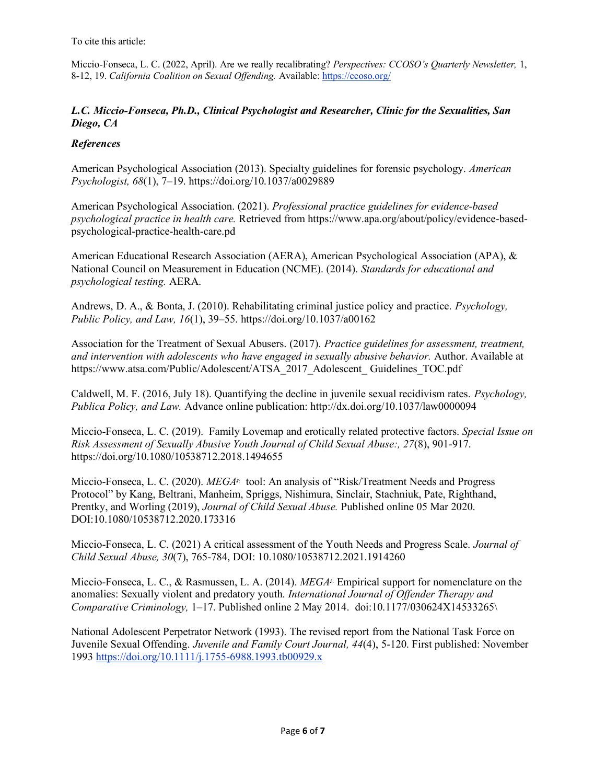To cite this article:

Miccio-Fonseca, L. C. (2022, April). Are we really recalibrating? *Perspectives: CCOSO's Quarterly Newsletter,* 1, 8-12, 19. *California Coalition on Sexual Offending*. Available[: https://ccoso.org/](https://ccoso.org/)

## *L.C. Miccio-Fonseca, Ph.D., Clinical Psychologist and Researcher, Clinic for the Sexualities, San Diego, CA*

## *References*

American Psychological Association (2013). Specialty guidelines for forensic psychology. *American Psychologist, 68*(1), 7–19. https://doi.org/10.1037/a0029889

American Psychological Association. (2021). *Professional practice guidelines for evidence-based psychological practice in health care.* Retrieved from https://www.apa.org/about/policy/evidence-basedpsychological-practice-health-care.pd

American Educational Research Association (AERA), American Psychological Association (APA), & National Council on Measurement in Education (NCME). (2014). *Standards for educational and psychological testing.* AERA.

Andrews, D. A., & Bonta, J. (2010). Rehabilitating criminal justice policy and practice. *Psychology, Public Policy, and Law, 16*(1), 39–55. https://doi.org/10.1037/a00162

Association for the Treatment of Sexual Abusers. (2017). *Practice guidelines for assessment, treatment, and intervention with adolescents who have engaged in sexually abusive behavior.* Author. Available at https://www.atsa.com/Public/Adolescent/ATSA\_2017\_Adolescent\_ Guidelines\_TOC.pdf

Caldwell, M. F. (2016, July 18). Quantifying the decline in juvenile sexual recidivism rates. *Psychology, Publica Policy, and Law.* Advance online publication: http://dx.doi.org/10.1037/law0000094

Miccio-Fonseca, L. C. (2019). Family Lovemap and erotically related protective factors. *Special Issue on Risk Assessment of Sexually Abusive Youth Journal of Child Sexual Abuse:, 27*(8), 901-917. https://doi.org/10.1080/10538712.2018.1494655

Miccio-Fonseca, L. C. (2020). *MEGA♪*: tool: An analysis of "Risk/Treatment Needs and Progress Protocol" by Kang, Beltrani, Manheim, Spriggs, Nishimura, Sinclair, Stachniuk, Pate, Righthand, Prentky, and Worling (2019), *Journal of Child Sexual Abuse.* Published online 05 Mar 2020. DOI:10.1080/10538712.2020.173316

Miccio-Fonseca, L. C. (2021) A critical assessment of the Youth Needs and Progress Scale. *Journal of Child Sexual Abuse, 30*(7), 765-784, DOI: 10.1080/10538712.2021.1914260

Miccio-Fonseca, L. C., & Rasmussen, L. A. (2014). *MEGA♪*: Empirical support for nomenclature on the anomalies: Sexually violent and predatory youth. *International Journal of Offender Therapy and Comparative Criminology,* 1–17. Published online 2 May 2014. doi:10.1177/030624X14533265\

National Adolescent Perpetrator Network (1993). The revised report from the National Task Force on Juvenile Sexual Offending. *Juvenile and Family Court Journal, 44*(4), 5-120. First published: November 199[3 https://doi.org/10.1111/j.1755-6988.1993.tb00929.x](https://doi.org/10.1111/j.1755-6988.1993.tb00929.x)